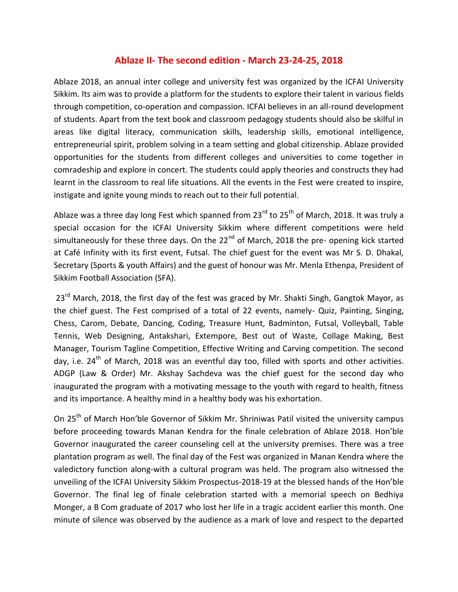## **Ablaze II- The second edition - March 23-24-25, 2018**

Ablaze 2018, an annual inter college and university fest was organized by the ICFAI University Sikkim. Its aim was to provide a platform for the students to explore their talent in various fields through competition, co-operation and compassion. ICFAI believes in an all-round development of students. Apart from the text book and classroom pedagogy students should also be skilful in areas like digital literacy, communication skills, leadership skills, emotional intelligence, entrepreneurial spirit, problem solving in a team setting and global citizenship. Ablaze provided opportunities for the students from different colleges and universities to come together in comradeship and explore in concert. The students could apply theories and constructs they had learnt in the classroom to real life situations. All the events in the Fest were created to inspire, instigate and ignite young minds to reach out to their full potential.

Ablaze was a three day long Fest which spanned from 23<sup>rd</sup> to 25<sup>th</sup> of March, 2018. It was truly a special occasion for the ICFAI University Sikkim where different competitions were held simultaneously for these three days. On the  $22^{nd}$  of March, 2018 the pre- opening kick started at Café Infinity with its first event, Futsal. The chief guest for the event was Mr S. D. Dhakal, Secretary (Sports & youth Affairs) and the guest of honour was Mr. Menla Ethenpa, President of Sikkim Football Association (SFA).

 $23^{rd}$  March, 2018, the first day of the fest was graced by Mr. Shakti Singh, Gangtok Mayor, as the chief guest. The Fest comprised of a total of 22 events, namely- Quiz, Painting, Singing, Chess, Carom, Debate, Dancing, Coding, Treasure Hunt, Badminton, Futsal, Volleyball, Table Tennis, Web Designing, Antakshari, Extempore, Best out of Waste, Collage Making, Best Manager, Tourism Tagline Competition, Effective Writing and Carving competition. The second day, i.e.  $24<sup>th</sup>$  of March, 2018 was an eventful day too, filled with sports and other activities. ADGP (Law & Order) Mr. Akshay Sachdeva was the chief guest for the second day who inaugurated the program with a motivating message to the youth with regard to health, fitness and its importance. A healthy mind in a healthy body was his exhortation.

On 25<sup>th</sup> of March Hon'ble Governor of Sikkim Mr. Shriniwas Patil visited the university campus before proceeding towards Manan Kendra for the finale celebration of Ablaze 2018. Hon'ble Governor inaugurated the career counseling cell at the university premises. There was a tree plantation program as well. The final day of the Fest was organized in Manan Kendra where the valedictory function along-with a cultural program was held. The program also witnessed the unveiling of the ICFAI University Sikkim Prospectus-2018-19 at the blessed hands of the Hon'ble Governor. The final leg of finale celebration started with a memorial speech on Bedhiya Monger, a B Com graduate of 2017 who lost her life in a tragic accident earlier this month. One minute of silence was observed by the audience as a mark of love and respect to the departed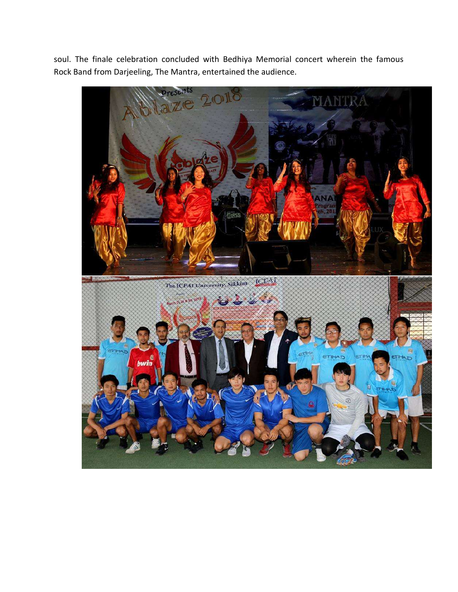soul. The finale celebration concluded with Bedhiya Memorial concert wherein the famous Rock Band from Darjeeling, The Mantra, entertained the audience.

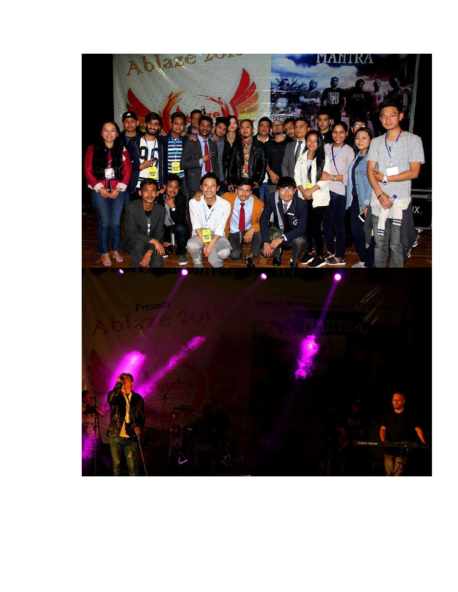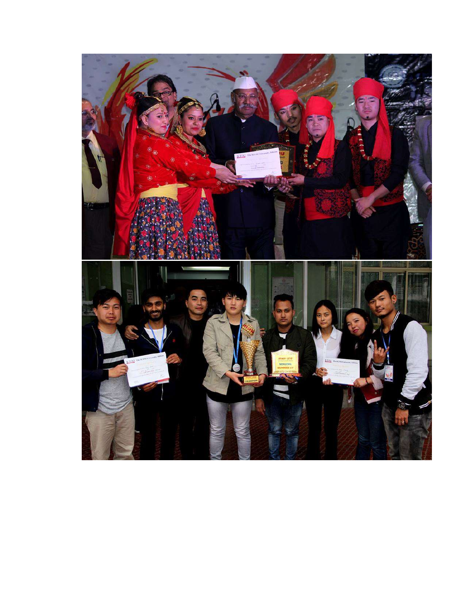